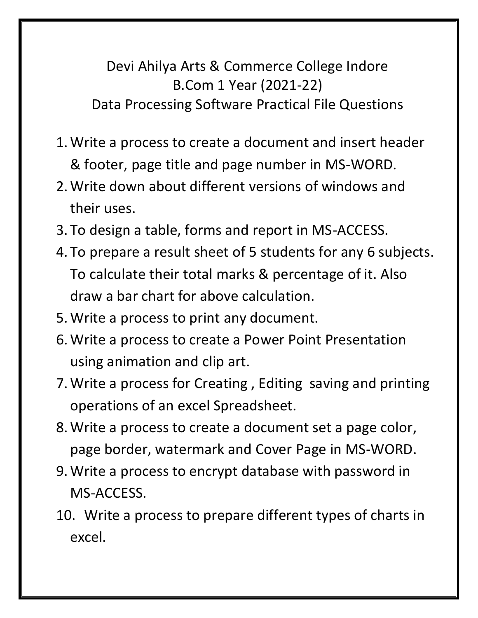Devi Ahilya Arts & Commerce College Indore B.Com 1 Year (2021-22) Data Processing Software Practical File Questions

- 1.Write a process to create a document and insert header & footer, page title and page number in MS-WORD.
- 2.Write down about different versions of windows and their uses.
- 3. To design a table, forms and report in MS-ACCESS.
- 4. To prepare a result sheet of 5 students for any 6 subjects. To calculate their total marks & percentage of it. Also draw a bar chart for above calculation.
- 5.Write a process to print any document.
- 6.Write a process to create a Power Point Presentation using animation and clip art.
- 7.Write a process for Creating , Editing saving and printing operations of an excel Spreadsheet.
- 8.Write a process to create a document set a page color, page border, watermark and Cover Page in MS-WORD.
- 9.Write a process to encrypt database with password in MS-ACCESS.
- 10. Write a process to prepare different types of charts in excel.